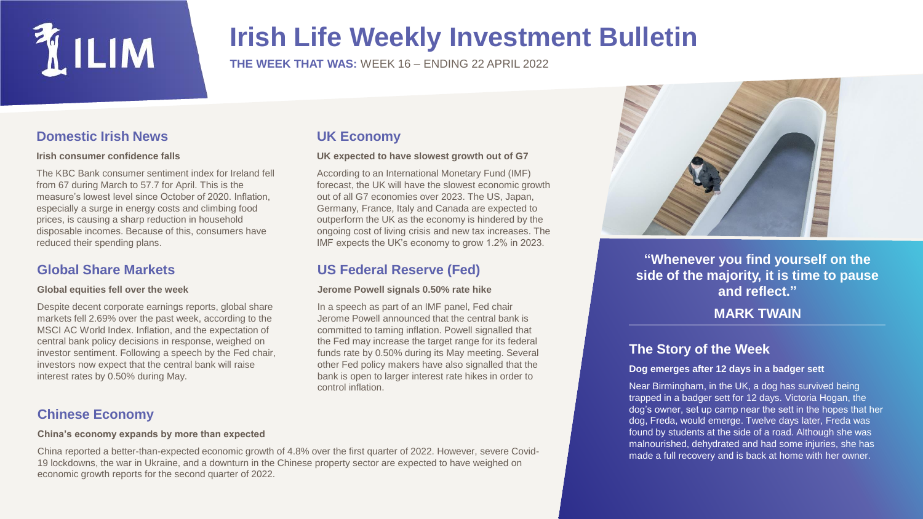

## **Irish Life Weekly Investment Bulletin**

**THE WEEK THAT WAS:** WEEK 16 – ENDING 22 APRIL 2022

**US Federal Reserve (Fed)**

**Jerome Powell signals 0.50% rate hike**

In a speech as part of an IMF panel, Fed chair Jerome Powell announced that the central bank is committed to taming inflation. Powell signalled that the Fed may increase the target range for its federal funds rate by 0.50% during its May meeting. Several other Fed policy makers have also signalled that the bank is open to larger interest rate hikes in order to

**UK expected to have slowest growth out of G7** According to an International Monetary Fund (IMF) forecast, the UK will have the slowest economic growth out of all G7 economies over 2023. The US, Japan, Germany, France, Italy and Canada are expected to outperform the UK as the economy is hindered by the ongoing cost of living crisis and new tax increases. The IMF expects the UK's economy to grow 1.2% in 2023.

**UK Economy**

control inflation.

## **Domestic Irish News**

#### **Irish consumer confidence falls**

The KBC Bank consumer sentiment index for Ireland fell from 67 during March to 57.7 for April. This is the measure's lowest level since October of 2020. Inflation, especially a surge in energy costs and climbing food prices, is causing a sharp reduction in household disposable incomes. Because of this, consumers have reduced their spending plans.

## **Global Share Markets**

#### **Global equities fell over the week**

Despite decent corporate earnings reports, global share markets fell 2.69% over the past week, according to the MSCI AC World Index. Inflation, and the expectation of central bank policy decisions in response, weighed on investor sentiment. Following a speech by the Fed chair, investors now expect that the central bank will raise interest rates by 0.50% during May.

## **Chinese Economy**

#### **China's economy expands by more than expected**

China reported a better-than-expected economic growth of 4.8% over the first quarter of 2022. However, severe Covid-19 lockdowns, the war in Ukraine, and a downturn in the Chinese property sector are expected to have weighed on economic growth reports for the second quarter of 2022.



**"Whenever you find yourself on the side of the majority, it is time to pause and reflect."** 

## **MARK TWAIN**

## **The Story of the Week**

#### **Dog emerges after 12 days in a badger sett**

Near Birmingham, in the UK, a dog has survived being trapped in a badger sett for 12 days. Victoria Hogan, the dog's owner, set up camp near the sett in the hopes that her dog, Freda, would emerge. Twelve days later, Freda was found by students at the side of a road. Although she was malnourished, dehydrated and had some injuries, she has made a full recovery and is back at home with her owner.